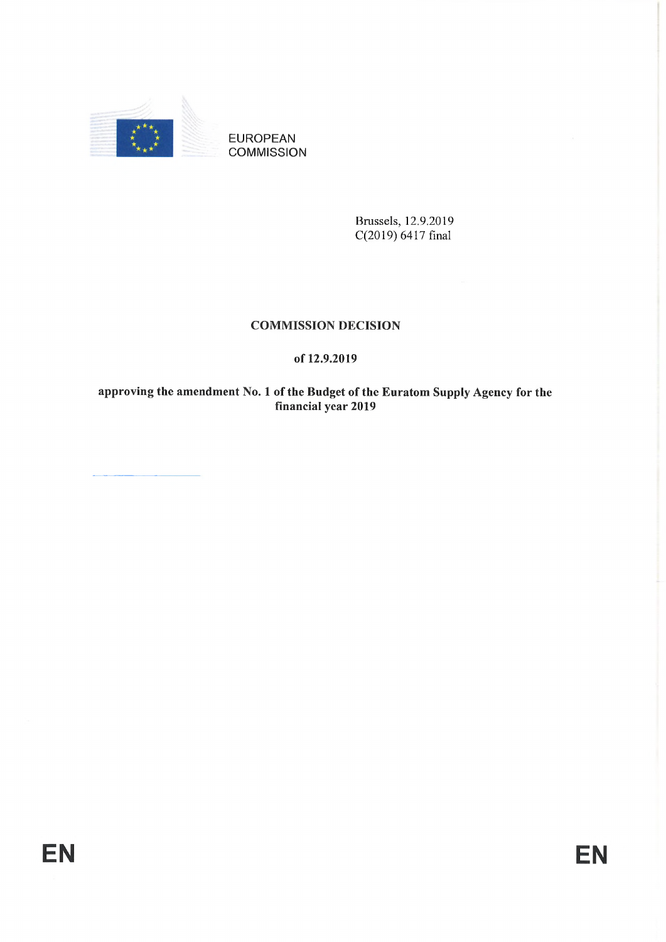

EUROPEAN **COMMISSION** 

> Brussels, 12.9.2019 C(2019) 6417 final

# **COMMISSION DECISION**

# **of 12.9.2019**

**approving the amendment No. <sup>1</sup> of the Budget of the Euratom Supply Agency for the financial year 2019**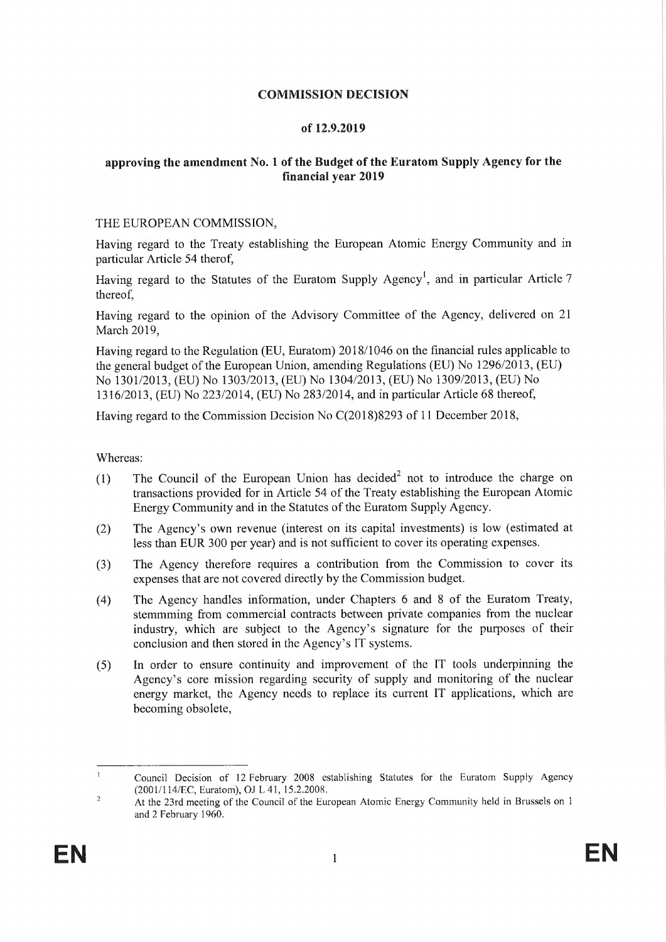## **COMMISSION DECISION**

### **of 12.9.2019**

## **approving the amendment No. <sup>1</sup> of the Budget ofthe Euratom Supply Agency for the financial year 2019**

#### THE EUROPEAN COMMISSION,

Having regard to the Treaty establishing the European Atomic Energy Community and in particular Article 54 therof,

Having regard to the Statutes of the Euratom Supply Agency<sup>1</sup>, and in particular Article 7 thereof,

Having regard to the opinion of the Advisory Committee of the Agency, delivered on 21 March 2019,

Having regard to the Regulation (EU, Euratom) 2018/1046 on the financial rules applicable to the general budget of the European Union, amending Regulations (EU) No  $1296/2013$ , (EU) No 1301/2013, (EU) No 1303/2013, (EU) No 1304/2013, (EU) No 1309/2013, (EU) No 1316/2013, (EU) No 223/2014, (EU) No 283/2014, and in particular Article 68 thereof,

Having regard to the Commission Decision No C(2018)8293 of 11 December 2018,

Whereas:

- (1) The Council of the European Union has decided<sup>2</sup> not to introduce the charge on transactions provided for in Article 54 of the Treaty establishing the European Atomic Energy Community and in the Statutes of the Euratom Supply Agency.
- (2) The Agency's own revenue (interest on its capital investments) is low (estimated at less than EUR 300 per year) and is not sufficient to cover its operating expenses.
- (3) The Agency therefore requires a contribution from the Commission to cover its expenses that are not covered directly by the Commission budget.
- (4) The Agency handles information, under Chapters 6 and <sup>8</sup> of the Euratom Treaty, stemmming from commercial contracts between private companies from the nuclear industry, which are subject to the Agency's signature for the purposes of their conclusion and then stored in the Agency's IT systems.
- (5) In order to ensure continuity and improvement of the IT tools underpinning the Agency's core mission regarding security of supply and monitoring of the nuclear energy market, the Agency needs to replace its current IT applications, which are becoming obsolete,

 $\mathbf{1}$ Council Decision of 12 February 2008 establishing Statutes for the Euratom Supply Agency (2001/114/EC, Euratom), OJ L 41, 15.2.2008.

 $\overline{c}$ At the 23rd meeting of the Council of the European Atomic Energy Community held in Brussels on <sup>1</sup> and 2 February 1960.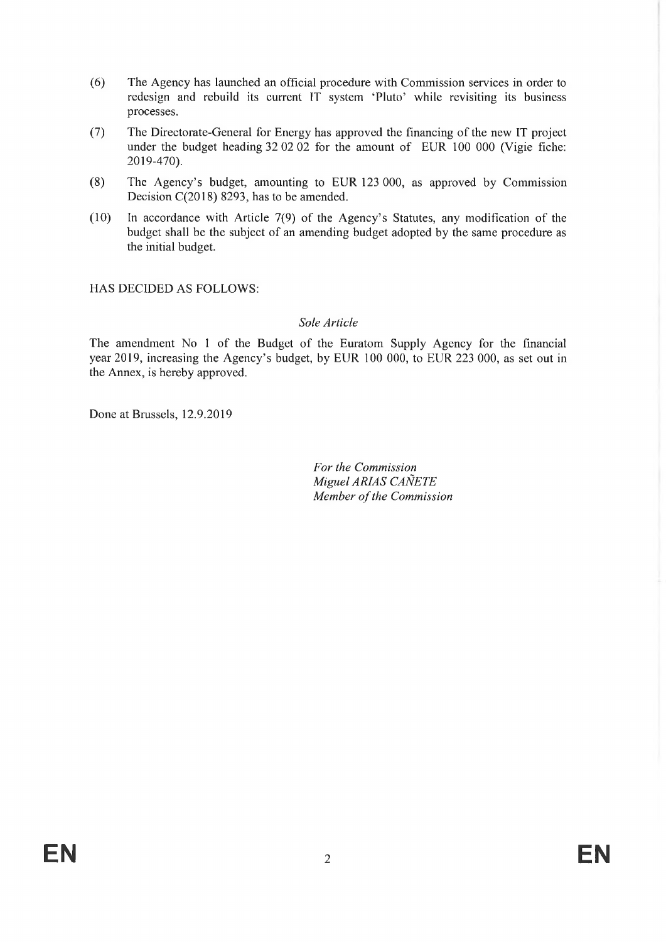- (6) The Agency has launched an official procedure with Commission services in order to redesign and rebuild its current IT system 'Pluto' while revisiting its business processes.
- (7) The Directorate-General for Energy has approved the financing of the new IT project under the budget heading 32 02 02 for the amount of EUR 100 000 (Vigie fiche: 2019-470).
- (8) The Agency's budget, amounting to EUR 123 000, as approved by Commission Decision C(2018) 8293, has to be amended.
- (10) In accordance with Article 7(9) of the Agency's Statutes, any modification of the budget shall be the subject of an amending budget adopted by the same procedure as the initial budget.

HAS DECIDED AS FOLLOWS:

### *Sole Article*

The amendment No <sup>1</sup> of the Budget of the Euratom Supply Agency for the financial year 2019, increasing the Agency's budget, by EUR 100 000, to EUR 223 000, as set out in the Annex, is hereby approved.

Done at Brussels, 12.9.2019

*For the Commission Miguel ARIAS CAÑETE Member ofthe Commission*